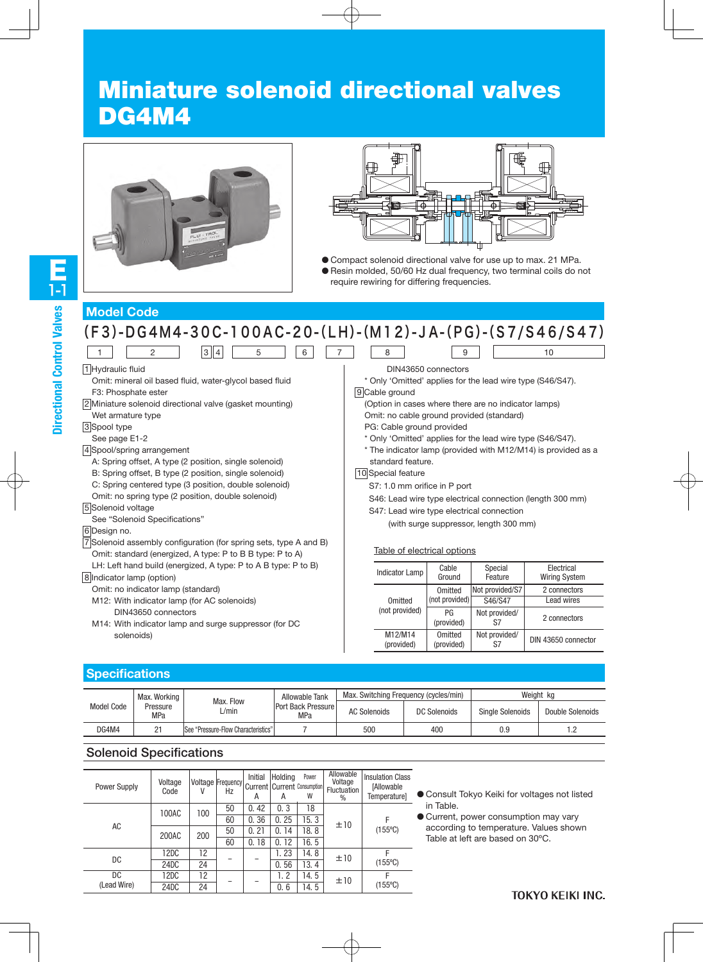# Miniature solenoid directional valves DG4M4





● Compact solenoid directional valve for use up to max. 21 MPa. ● Resin molded, 50/60 Hz dual frequency, two terminal coils do not require rewiring for differing frequencies.

# **Model Code**

| $(F3)-DG4M4-30C-100AC-20-(LH)-(M12)-JA-(PG)-(S7/S46/S47)$                                                                                                                                                                                                                                                                                                                                                                                                                                                                                                                                                                          |                                                                                                                                                                                                                                                                                                                                                                                                                                                                                                                                                                                                     |  |  |  |  |  |  |
|------------------------------------------------------------------------------------------------------------------------------------------------------------------------------------------------------------------------------------------------------------------------------------------------------------------------------------------------------------------------------------------------------------------------------------------------------------------------------------------------------------------------------------------------------------------------------------------------------------------------------------|-----------------------------------------------------------------------------------------------------------------------------------------------------------------------------------------------------------------------------------------------------------------------------------------------------------------------------------------------------------------------------------------------------------------------------------------------------------------------------------------------------------------------------------------------------------------------------------------------------|--|--|--|--|--|--|
| 3  4 <br>2<br>5<br>6                                                                                                                                                                                                                                                                                                                                                                                                                                                                                                                                                                                                               | 8<br>9<br>10                                                                                                                                                                                                                                                                                                                                                                                                                                                                                                                                                                                        |  |  |  |  |  |  |
| 1 Hydraulic fluid<br>Omit: mineral oil based fluid, water-glycol based fluid<br>F3: Phosphate ester<br>2 Miniature solenoid directional valve (gasket mounting)<br>Wet armature type<br>3 Spool type<br>See page E1-2<br>4 Spool/spring arrangement<br>A: Spring offset, A type (2 position, single solenoid)<br>B: Spring offset, B type (2 position, single solenoid)<br>C: Spring centered type (3 position, double solenoid)<br>Omit: no spring type (2 position, double solenoid)<br>5 Solenoid voltage<br>See "Solenoid Specifications"<br>6 Design no.<br>7 Solenoid assembly configuration (for spring sets, type A and B) | DIN43650 connectors<br>* Only 'Omitted' applies for the lead wire type (S46/S47).<br>9 Cable ground<br>(Option in cases where there are no indicator lamps)<br>Omit: no cable ground provided (standard)<br>PG: Cable ground provided<br>* Only 'Omitted' applies for the lead wire type (S46/S47).<br>* The indicator lamp (provided with M12/M14) is provided as a<br>standard feature.<br>10 Special feature<br>S7: 1.0 mm orifice in P port<br>S46: Lead wire type electrical connection (length 300 mm)<br>S47: Lead wire type electrical connection<br>(with surge suppressor, length 300 mm) |  |  |  |  |  |  |
| Omit: standard (energized, A type: P to B B type: P to A)                                                                                                                                                                                                                                                                                                                                                                                                                                                                                                                                                                          | Table of electrical options                                                                                                                                                                                                                                                                                                                                                                                                                                                                                                                                                                         |  |  |  |  |  |  |
| LH: Left hand build (energized, A type: P to A B type: P to B)<br>8 Indicator lamp (option)                                                                                                                                                                                                                                                                                                                                                                                                                                                                                                                                        | Electrical<br>Cable<br>Special<br><b>Indicator Lamp</b><br>Feature<br><b>Wiring System</b><br>Ground                                                                                                                                                                                                                                                                                                                                                                                                                                                                                                |  |  |  |  |  |  |
| Omit: no indicator lamp (standard)<br>M12: With indicator lamp (for AC solenoids)                                                                                                                                                                                                                                                                                                                                                                                                                                                                                                                                                  | Not provided/S7<br>Omitted<br>2 connectors<br>(not provided)<br>Lead wires<br>S46/S47<br>Omitted                                                                                                                                                                                                                                                                                                                                                                                                                                                                                                    |  |  |  |  |  |  |
| DIN43650 connectors<br>M14: With indicator lamp and surge suppressor (for DC                                                                                                                                                                                                                                                                                                                                                                                                                                                                                                                                                       | (not provided)<br>PG<br>Not provided/<br>2 connectors<br>S7<br>(provided)                                                                                                                                                                                                                                                                                                                                                                                                                                                                                                                           |  |  |  |  |  |  |
| solenoids)                                                                                                                                                                                                                                                                                                                                                                                                                                                                                                                                                                                                                         | M12/M14<br>Not provided/<br>Omitted<br>DIN 43650 connector<br>S7<br>(provided)<br>(provided)                                                                                                                                                                                                                                                                                                                                                                                                                                                                                                        |  |  |  |  |  |  |

## **Specifications**

|            | Max. Working           |                                     |                                  |                     | Max. Switching Frequency (cycles/min) |                         | Weight kg        |
|------------|------------------------|-------------------------------------|----------------------------------|---------------------|---------------------------------------|-------------------------|------------------|
| Model Code | Pressure<br><b>MPa</b> | Max. Flow<br>L/min                  | Port Back Pressure<br><b>MPa</b> | <b>AC Solenoids</b> | DC Solenoids                          | <b>Single Solenoids</b> | Double Solenoids |
| DG4M4      | n-                     | See "Pressure-Flow Characteristics" |                                  | 500                 | 400                                   | 0.9                     | 2. ا             |

## Solenoid Specifications

| <b>Power Supply</b> | Voltage<br>Code | V   | <b>Voltage Frequency</b><br>Hz | Initial<br>А | Holding<br>Α | Power<br><b>Current Current Consumption</b><br>W | Allowable<br>Voltage<br><b>Fluctuation</b><br>$\%$ | <b>Insulation Class</b><br><b>[Allowable</b><br>Temperature] |
|---------------------|-----------------|-----|--------------------------------|--------------|--------------|--------------------------------------------------|----------------------------------------------------|--------------------------------------------------------------|
|                     | 100AC           | 100 | 50                             | 42<br>0.     | 0, 3         | 18                                               |                                                    |                                                              |
|                     |                 |     | 60                             | 0.36         | 0.25         | 15.3                                             | ±10                                                | F                                                            |
| AC                  | 200AC           | 200 | 50                             | 0.21         | 14<br>0.     | 18.8                                             |                                                    | $(155^{\circ}C)$                                             |
|                     |                 |     | 60                             | 18<br>0.     | 12<br>0.     | 16.5                                             |                                                    |                                                              |
|                     | 12DC            | 12  |                                |              | 1.23         | 14.8                                             | ±10                                                | F                                                            |
| DC                  | 24DC            | 24  |                                |              | 0.56         | 13.4                                             |                                                    | $(155^{\circ}C)$                                             |
| DC                  | 12DC            | 12  |                                |              | 1. 2         | 14.5                                             | ±10                                                | F                                                            |
| (Lead Wire)         | 24DC            | 24  |                                |              | 0.6          | 14.5                                             |                                                    | $(155^{\circ}C)$                                             |

● Consult Tokyo Keiki for voltages not listed in Table.

● Current, power consumption may vary according to temperature. Values shown Table at left are based on 30ºC.

## **TOKYO KEIKI INC.**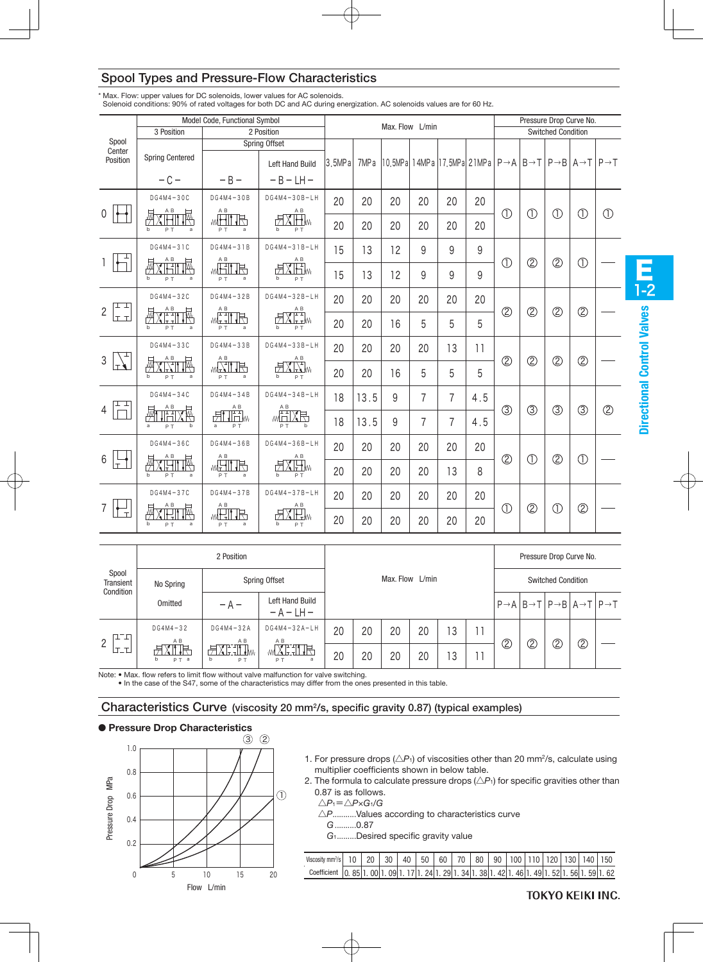|                        |                                                                                                                                                                                                                                                                                                                 | Model Code, Functional Symbol                                                                                                                                                                                                                                                                                                                                   |                                                                                              |        | Max. Flow L/min  |    |                |                                                                                                                       |     |                |               | Pressure Drop Curve No.   |               |               |  |  |
|------------------------|-----------------------------------------------------------------------------------------------------------------------------------------------------------------------------------------------------------------------------------------------------------------------------------------------------------------|-----------------------------------------------------------------------------------------------------------------------------------------------------------------------------------------------------------------------------------------------------------------------------------------------------------------------------------------------------------------|----------------------------------------------------------------------------------------------|--------|------------------|----|----------------|-----------------------------------------------------------------------------------------------------------------------|-----|----------------|---------------|---------------------------|---------------|---------------|--|--|
|                        | 3 Position                                                                                                                                                                                                                                                                                                      |                                                                                                                                                                                                                                                                                                                                                                 | 2 Position                                                                                   |        |                  |    |                |                                                                                                                       |     |                |               | <b>Switched Condition</b> |               |               |  |  |
| Spool<br>Center        |                                                                                                                                                                                                                                                                                                                 |                                                                                                                                                                                                                                                                                                                                                                 | Spring Offset                                                                                |        |                  |    |                |                                                                                                                       |     |                |               |                           |               |               |  |  |
| Position               | <b>Spring Centered</b>                                                                                                                                                                                                                                                                                          |                                                                                                                                                                                                                                                                                                                                                                 | <b>Left Hand Build</b>                                                                       | 3.5MPa | 7MP <sub>a</sub> |    |                | 10.5MPa 14MPa 17.5MPa 21MPa $P \rightarrow A$ $B \rightarrow T$ $P \rightarrow B$ $A \rightarrow T$ $P \rightarrow T$ |     |                |               |                           |               |               |  |  |
|                        | $-C -$                                                                                                                                                                                                                                                                                                          | $-B -$                                                                                                                                                                                                                                                                                                                                                          | $-B-LH-$                                                                                     |        |                  |    |                |                                                                                                                       |     |                |               |                           |               |               |  |  |
|                        | $DG4M4-3OC$                                                                                                                                                                                                                                                                                                     | $DG4M4-30B$                                                                                                                                                                                                                                                                                                                                                     | $DG4M4-30B-LH$                                                                               | 20     | 20               | 20 | 20             | 20                                                                                                                    | 20  |                |               |                           |               |               |  |  |
| 0 <sup>1</sup>         | XHITM<br>$\mathsf{h}$<br>PT.<br>a                                                                                                                                                                                                                                                                               | $\begin{picture}(20,20) \put(0,0){\line(1,0){10}} \put(10,0){\line(1,0){10}} \put(10,0){\line(1,0){10}} \put(10,0){\line(1,0){10}} \put(10,0){\line(1,0){10}} \put(10,0){\line(1,0){10}} \put(10,0){\line(1,0){10}} \put(10,0){\line(1,0){10}} \put(10,0){\line(1,0){10}} \put(10,0){\line(1,0){10}} \put(10,0){\line(1,0){10}} \put(10,0){\line(1$<br>PT.<br>a | $\mathbb{K}$<br>b<br>PT.                                                                     | 20     | 20               | 20 | 20             | 20                                                                                                                    | 20  | $\bigcirc$     | $\bigcirc$    | $\circled{1}$             | $\circled{1}$ | $\circled{1}$ |  |  |
|                        | $DG4M4-3IC$                                                                                                                                                                                                                                                                                                     | $DG4M4-31B$<br>A B                                                                                                                                                                                                                                                                                                                                              | $DG4M4-31B-LH$                                                                               | 15     | 13               | 12 | 9              | 9                                                                                                                     | 9   |                |               |                           |               |               |  |  |
|                        | $\bigtimes \mathop{\overline{\mathbb{H}}}\limits^{AB} \mathop{\overline{\mathbb{H}}}\limits_{\mathbb{R}} \mathop{\overline{\mathbb{M}}}\limits^{\mathbb{R}}$<br>鮃<br>PT.<br>a                                                                                                                                   | whit is<br>PT.<br>a                                                                                                                                                                                                                                                                                                                                             | $X\overset{\mathsf{AB}}{\underset{\smile}{\coprod}}\mathbb{W}$<br>一<br>b<br>PT.              | 15     | 13               | 12 | 9              | 9                                                                                                                     | 9   | $\bigcirc$     | $\circled{2}$ | $^{\circledR}$            | $\bigcirc$    |               |  |  |
| 世世                     | $DG4M4-32C$                                                                                                                                                                                                                                                                                                     | $DG4M4-32B$                                                                                                                                                                                                                                                                                                                                                     | $DG4M4-32B-LH$                                                                               | 20     | 20               | 20 | 20             | 20                                                                                                                    | 20  |                |               |                           |               |               |  |  |
| $\overline{2}$<br>عتما | $X$ $\overset{\text{AB}}{\underset{\text{F}}{\rightleftharpoons}} \overset{\text{AB}}{\underset{\text{F}}{\rightleftharpoons}} \overset{\text{B}}{\underset{\text{F}}{\rightleftharpoons}} \overset{\text{B}}{\underset{\text{F}}{\rightleftharpoons}} \overset{\text{B}}{\rightleftharpoons}$<br>赑<br>PT.<br>a | $\begin{picture}(120,115) \put(0,0){\line(1,0){15}} \put(15,0){\line(1,0){15}} \put(15,0){\line(1,0){15}} \put(15,0){\line(1,0){15}} \put(15,0){\line(1,0){15}} \put(15,0){\line(1,0){15}} \put(15,0){\line(1,0){15}} \put(15,0){\line(1,0){15}} \put(15,0){\line(1,0){15}} \put(15,0){\line(1,0){15}} \put(15,0){\line(1,0){15}} \put(15,0){\line$<br>PT.<br>a | $X^{\frac{AB}{1\text{-}1}}_{I\text{-}IM}$<br>b<br>PT.                                        | 20     | 20               | 16 | 5              | 5                                                                                                                     | 5   | $\circled{2}$  | $\circled{2}$ | $^{\circledR}$            | $\circled{2}$ |               |  |  |
|                        | $DG4M4-33C$                                                                                                                                                                                                                                                                                                     | $DG4M4-33B$<br>A B                                                                                                                                                                                                                                                                                                                                              | $DG4M4-33B-LH$                                                                               | 20     | 20               | 20 | 20             | 13                                                                                                                    | 11  |                |               |                           |               |               |  |  |
| 3                      | <b>HXRTM</b><br>PT.<br>$\mathsf{h}$<br>a                                                                                                                                                                                                                                                                        | <b>ELLE</b><br>PT.                                                                                                                                                                                                                                                                                                                                              | $\frac{\mathcal{L}^{\mathbf{A}\mathbf{B}}}{\mathcal{L}^{\mathbf{A}}\mathcal{L}}$<br>b<br>PT. | 20     | 20               | 16 | 5              | 5                                                                                                                     | 5   | $\circled{2}$  | $\circled{2}$ | $^{\circledR}$            | $\circled{2}$ |               |  |  |
| 江工                     | $DG4M4-34C$                                                                                                                                                                                                                                                                                                     | $DG4M4-34B$                                                                                                                                                                                                                                                                                                                                                     | $DG4M4-34B-LH$<br>$\mathsf A$ B                                                              | 18     | 13.5             | 9  | $\overline{7}$ | $\overline{7}$                                                                                                        | 4.5 |                |               |                           |               |               |  |  |
| $\overline{4}$         | $\frac{AB}{\sqrt{1+1}}$<br>PT.<br>b<br>a                                                                                                                                                                                                                                                                        | $\begin{picture}(20,10) \put(0,0){\line(1,0){10}} \put(15,0){\line(1,0){10}} \put(15,0){\line(1,0){10}} \put(15,0){\line(1,0){10}} \put(15,0){\line(1,0){10}} \put(15,0){\line(1,0){10}} \put(15,0){\line(1,0){10}} \put(15,0){\line(1,0){10}} \put(15,0){\line(1,0){10}} \put(15,0){\line(1,0){10}} \put(15,0){\line(1,0){10}} \put(15,0){\line(1$<br>P T<br>a | <b>HXH</b><br>PT.                                                                            | 18     | 13.5             | 9  | $\overline{7}$ | $\overline{7}$                                                                                                        | 4.5 | $\circled{3}$  | $\circledS$   | $\circled{3}$             | $\circled{3}$ | $\circled{2}$ |  |  |
|                        | $DG4M4-36C$<br>A B                                                                                                                                                                                                                                                                                              | $DG4M4-36B$<br>A B                                                                                                                                                                                                                                                                                                                                              | $DG4M4-36B-LH$<br>A B                                                                        | 20     | 20               | 20 | 20             | 20                                                                                                                    | 20  |                |               |                           |               |               |  |  |
| $6\overline{6}$        | <u>WYCHI IM</u><br>PT.<br>a                                                                                                                                                                                                                                                                                     | WHIT IS<br>PT                                                                                                                                                                                                                                                                                                                                                   | <b>FIXHM</b><br>PT.<br>$\mathsf{h}$                                                          | 20     | 20               | 20 | 20             | 13                                                                                                                    | 8   | $\circledcirc$ | $\bigcirc$    | $^{\circledR}$            | $\bigcirc$    |               |  |  |
|                        | $DG4M4-37C$<br>$A$ $B$                                                                                                                                                                                                                                                                                          | $DG4M4-37B$<br>A B                                                                                                                                                                                                                                                                                                                                              | $DG4M4-37B-LH$<br>A B                                                                        | 20     | 20               | 20 | 20             | 20                                                                                                                    | 20  |                |               |                           |               |               |  |  |
| 긒                      | 博<br>PT.<br>a                                                                                                                                                                                                                                                                                                   | well je<br>a<br>PT                                                                                                                                                                                                                                                                                                                                              | X H.<br>b<br>P T                                                                             | 20     | 20               | 20 | 20             | 20                                                                                                                    | 20  | $\bigcirc$     | $\circled{2}$ | $\circled{1}$             | $\circled{2}$ |               |  |  |

## Spool Types and Pressure-Flow Characteristics

 $\sigma$  official conditions.  $\sigma$  or fated voitages for both DC and AC during energization. AC soft \* Max. Flow: upper values for DC solenoids, lower values for AC solenoids. Solenoid conditions: 90% of rated voltages for both DC and AC during energization. AC solenoids values are for 60 Hz.

|                                 |                              |                                        |                                 |    |                 |    |    |                     |  | Pressure Drop Curve No.   |                                                                                           |   |   |  |
|---------------------------------|------------------------------|----------------------------------------|---------------------------------|----|-----------------|----|----|---------------------|--|---------------------------|-------------------------------------------------------------------------------------------|---|---|--|
| Spool<br>Transient<br>Condition | No Spring                    |                                        | Spring Offset                   |    | Max. Flow L/min |    |    |                     |  | <b>Switched Condition</b> |                                                                                           |   |   |  |
|                                 | Omitted                      | $-A -$                                 | Left Hand Build<br>$- A - LH -$ |    |                 |    |    |                     |  |                           | $P \rightarrow A$ $B \rightarrow T$ $P \rightarrow B$ $A \rightarrow T$ $P \rightarrow T$ |   |   |  |
| LT<br>$\overline{2}$            | $DG4M4-32$<br>A <sub>B</sub> | $DG4MA-32A$<br>A B                     | $DG4M4-32A-LH$<br>A B           | 20 | 20              | 20 | 20 | $\mathbf{z}$<br>ر ـ |  | $\overline{2}$            | $\circledZ$                                                                               | ② | Ĉ |  |
| ،T<br>$\mathbf +$               | ŢŖ.<br>b<br>PT a             | Ծ™™<br>与<br>+W∿<br>b<br>P <sub>T</sub> | HH.<br>a<br>P T                 | 20 | 20              | 20 | 20 | ≏<br>J              |  |                           |                                                                                           |   |   |  |

Note: • Max. flow refers to limit flow without valve malfunction for valve switching.

• In the case of the S47, some of the characteristics may differ from the ones presented in this table.

Characteristics Curve (viscosity 20 mm2/s, specific gravity 0.87) (typical examples)

### ● **Pressure Drop Characteristics**



- 1. For pressure drops  $(\triangle P_1)$  of viscosities other than 20 mm<sup>2</sup>/s, calculate using multiplier coefficients shown in below table.
- 2. The formula to calculate pressure drops  $(\triangle P_1)$  for specific gravities other than 0.87 is as follows.

△*P*1=△*P*×*G*1/*G*

- △*P*...........Values according to characteristics curve
- *G*..........0.87
- *G*1.........Desired specific gravity value

| Viscosity mm <sup>2</sup> /s                                                                          | $10-1$ | 20 <sup>1</sup> | 30   40   50   60   70   80   90   100   110   120   130   140   150 |  |  |  |  |  |  |
|-------------------------------------------------------------------------------------------------------|--------|-----------------|----------------------------------------------------------------------|--|--|--|--|--|--|
| Coefficient 0. 85 1. 00 1. 09 1. 17 1. 24 1. 29 1. 34 1. 38 1. 42 1. 46 1. 49 1. 52 1. 56 1. 59 1. 62 |        |                 |                                                                      |  |  |  |  |  |  |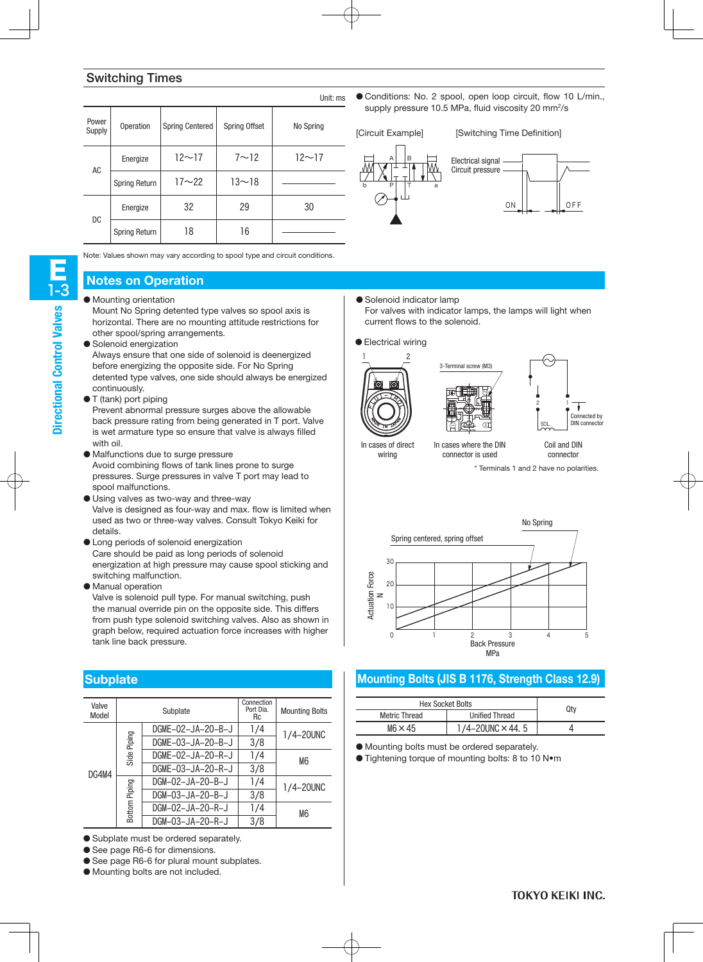## Switching Times

|                 |                      |                        |                      | Unit: ms     |  |
|-----------------|----------------------|------------------------|----------------------|--------------|--|
| Power<br>Supply | Operation            | <b>Spring Centered</b> | <b>Spring Offset</b> | No Spring    |  |
| AC              | Energize             | $12 - 17$              | $7 \sim 12$          | $12 \sim 17$ |  |
|                 | <b>Spring Return</b> | $17 - 22$              | $13 - 18$            |              |  |
|                 | Energize             | 32                     | 29                   | 30           |  |
| DC              | <b>Spring Return</b> | 18                     | 16                   |              |  |

Note: Values shown may vary according to spool type and circuit conditions.

## **Notes on Operation**

- Mounting orientation
	- Mount No Spring detented type valves so spool axis is horizontal. There are no mounting attitude restrictions for other spool/spring arrangements.
- Solenoid energization

Always ensure that one side of solenoid is deenergized before energizing the opposite side. For No Spring detented type valves, one side should always be energized continuously.

● T (tank) port piping

Prevent abnormal pressure surges above the allowable back pressure rating from being generated in T port. Valve is wet armature type so ensure that valve is always filled with oil.

- Malfunctions due to surge pressure Avoid combining flows of tank lines prone to surge pressures. Surge pressures in valve T port may lead to spool malfunctions.
- Using valves as two-way and three-way Valve is designed as four-way and max. flow is limited when used as two or three-way valves. Consult Tokyo Keiki for details.
- Long periods of solenoid energization Care should be paid as long periods of solenoid energization at high pressure may cause spool sticking and switching malfunction.
- Manual operation

Valve is solenoid pull type. For manual switching, push the manual override pin on the opposite side. This differs from push type solenoid switching valves. Also as shown in graph below, required actuation force increases with higher tank line back pressure.

## **Subplate**

| Valve<br>Model |        | Subplate          | Connection<br>Port Dia.<br>Rc | <b>Mounting Bolts</b> |     |           |
|----------------|--------|-------------------|-------------------------------|-----------------------|-----|-----------|
|                |        | DGME-02-JA-20-B-J | 1/4                           | 1/4-20UNC             |     |           |
|                |        | DGME-03-JA-20-B-J | 3/8                           |                       |     |           |
|                |        | Side Piping       |                               | DGME-02-JA-20-R-J     | 1/4 | M6        |
| DG4M4          |        | DGME-03-JA-20-R-J | 3/8                           |                       |     |           |
|                |        |                   |                               | DGM-02-JA-20-B-J      | 1/4 | 1/4-20UNC |
|                | Piping | DGM-03-JA-20-B-J  | 3/8                           |                       |     |           |
|                | Bottom | DGM-02-JA-20-R-J  | 1/4                           | M6                    |     |           |
|                |        | DGM-03-JA-20-R-J  | 3/8                           |                       |     |           |

- Subplate must be ordered separately.
- See page R6-6 for dimensions.
- See page R6-6 for plural mount subplates.
- Mounting bolts are not included.

● Conditions: No. 2 spool, open loop circuit, flow 10 L/min., supply pressure 10.5 MPa, fluid viscosity 20 mm<sup>2</sup>/s

[Circuit Example] [Switching Time Definition]



● Solenoid indicator lamp For valves with indicator lamps, the lamps will light when current flows to the solenoid.

3

 $\overline{\phantom{0}}$ 

● Electrical wiring





In cases of direct wiring

connector is used connector

\* Terminals 1 and 2 have no polarities.



# **Mounting Bolts (JIS B 1176, Strength Class 12.9)**

| <b>Hex Socket Bolts</b> | Qtv                     |  |
|-------------------------|-------------------------|--|
| <b>Metric Thread</b>    | <b>Unified Thread</b>   |  |
| $M6 \times 45$          | 1/4-20UNC $\times$ 44.5 |  |

● Mounting bolts must be ordered separately.

● Tightening torque of mounting bolts: 8 to 10 N•m

Directional Control Valves

**Directional Control Valves**

E

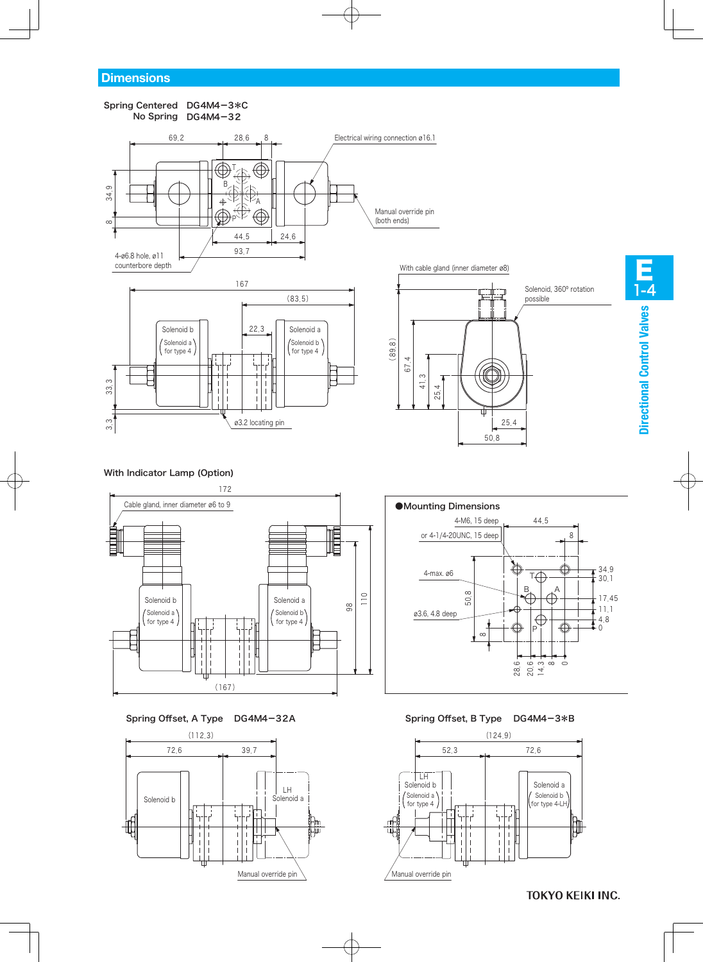#### No Spring DG4M4-32 Spring Centered DG4M4-3\*C







 $(89.8)$ 

.

674 .

م ۔<br>4 254 . Solenoid, 360º rotation



### With Indicator Lamp (Option)



#### Spring Offset, A Type DG4M4-32A





254.

 $50,8$ 

#### Spring Offset, B Type DG4M4-3\*B



**TOKYO KEIKI INC.**